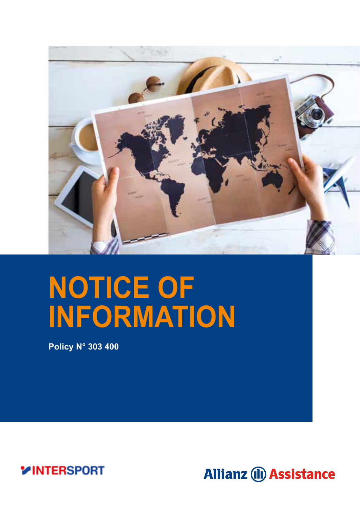

# **NOTICE OF INFORMATION**

**Policy N° 303 400** 

**VINTERSPORT** 

**Allianz (II) Assistance**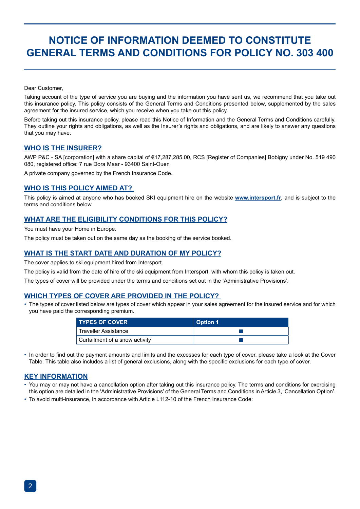### **NOTICE OF INFORMATION DEEMED TO CONSTITUTE GENERAL TERMS AND CONDITIONS FOR POLICY NO. 303 400**

Dear Customer,

Taking account of the type of service you are buying and the information you have sent us, we recommend that you take out this insurance policy. This policy consists of the General Terms and Conditions presented below, supplemented by the sales agreement for the insured service, which you receive when you take out this policy.

Before taking out this insurance policy, please read this Notice of Information and the General Terms and Conditions carefully. They outline your rights and obligations, as well as the Insurer's rights and obligations, and are likely to answer any questions that you may have.

#### **WHO IS THE INSURER?**

AWP P&C - SA [corporation] with a share capital of €17,287,285.00, RCS [Register of Companies] Bobigny under No. 519 490 080, registered office: 7 rue Dora Maar - 93400 Saint-Ouen

A private company governed by the French Insurance Code.

#### **WHO IS THIS POLICY AIMED AT?**

This policy is aimed at anyone who has booked SKI equipment hire on the website **www.intersport.fr**, and is subject to the terms and conditions below.

#### **WHAT ARE THE ELIGIBILITY CONDITIONS FOR THIS POLICY?**

You must have your Home in Europe.

The policy must be taken out on the same day as the booking of the service booked.

#### **WHAT IS THE START DATE AND DURATION OF MY POLICY?**

The cover applies to ski equipment hired from Intersport.

The policy is valid from the date of hire of the ski equipment from Intersport, with whom this policy is taken out.

The types of cover will be provided under the terms and conditions set out in the 'Administrative Provisions'.

#### **WHICH TYPES OF COVER ARE PROVIDED IN THE POLICY?**

• The types of cover listed below are types of cover which appear in your sales agreement for the insured service and for which you have paid the corresponding premium.

| <b>TYPES OF COVER</b>          | <b>Option 1</b> |
|--------------------------------|-----------------|
| <b>Traveller Assistance</b>    |                 |
| Curtailment of a snow activity |                 |

• In order to find out the payment amounts and limits and the excesses for each type of cover, please take a look at the Cover Table. This table also includes a list of general exclusions, along with the specific exclusions for each type of cover.

#### **KEY INFORMATION**

- You may or may not have a cancellation option after taking out this insurance policy. The terms and conditions for exercising this option are detailed in the 'Administrative Provisions' of the General Terms and Conditions in Article 3, 'Cancellation Option'.
- To avoid multi-insurance, in accordance with Article L112-10 of the French Insurance Code: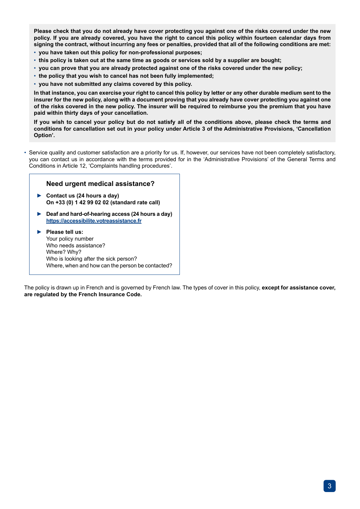**Please check that you do not already have cover protecting you against one of the risks covered under the new policy. If you are already covered, you have the right to cancel this policy within fourteen calendar days from signing the contract, without incurring any fees or penalties, provided that all of the following conditions are met:**

- **you have taken out this policy for non-professional purposes;**
- **this policy is taken out at the same time as goods or services sold by a supplier are bought;**
- **you can prove that you are already protected against one of the risks covered under the new policy;**
- **the policy that you wish to cancel has not been fully implemented;**
- **you have not submitted any claims covered by this policy.**

**In that instance, you can exercise your right to cancel this policy by letter or any other durable medium sent to the insurer for the new policy, along with a document proving that you already have cover protecting you against one of the risks covered in the new policy. The insurer will be required to reimburse you the premium that you have paid within thirty days of your cancellation.**

**If you wish to cancel your policy but do not satisfy all of the conditions above, please check the terms and conditions for cancellation set out in your policy under Article 3 of the Administrative Provisions, 'Cancellation Option'.**

• Service quality and customer satisfaction are a priority for us. If, however, our services have not been completely satisfactory, you can contact us in accordance with the terms provided for in the 'Administrative Provisions' of the General Terms and Conditions in Article 12, 'Complaints handling procedures'.

#### **Need urgent medical assistance?**

- **► Contact us (24 hours a day) On +33 (0) 1 42 99 02 02 (standard rate call)**
- **► Deaf and hard-of-hearing access (24 hours a day) https://accessibilite.votreassistance.fr**
- ► **Please tell us:** Your policy number Who needs assistance? Where? Why? Who is looking after the sick person? Where, when and how can the person be contacted?

The policy is drawn up in French and is governed by French law. The types of cover in this policy, **except for assistance cover, are regulated by the French Insurance Code.**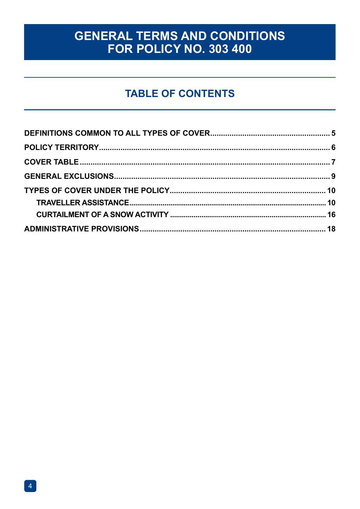### **GENERAL TERMS AND CONDITIONS** FOR POLICY NO. 303 400

### **TABLE OF CONTENTS**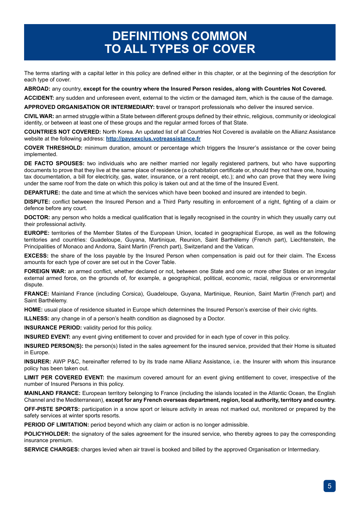### **DEFINITIONS COMMON TO ALL TYPES OF COVER**

The terms starting with a capital letter in this policy are defined either in this chapter, or at the beginning of the description for each type of cover.

**ABROAD:** any country, **except for the country where the Insured Person resides, along with Countries Not Covered.**

**ACCIDENT:** any sudden and unforeseen event, external to the victim or the damaged item, which is the cause of the damage.

**APPROVED ORGANISATION OR INTERMEDIARY: t**ravel or transport professionals who deliver the insured service.

**CIVIL WAR:** an armed struggle within a State between different groups defined by their ethnic, religious, community or ideological identity, or between at least one of these groups and the regular armed forces of that State.

**COUNTRIES NOT COVERED:** North Korea. An updated list of all Countries Not Covered is available on the Allianz Assistance website at the following address: **http://paysexclus.votreassistance.fr**

**COVER THRESHOLD:** minimum duration, amount or percentage which triggers the Insurer's assistance or the cover being implemented.

**DE FACTO SPOUSES:** two individuals who are neither married nor legally registered partners, but who have supporting documents to prove that they live at the same place of residence (a cohabitation certificate or, should they not have one, housing tax documentation, a bill for electricity, gas, water, insurance, or a rent receipt, etc.); and who can prove that they were living under the same roof from the date on which this policy is taken out and at the time of the Insured Event.

**DEPARTURE:** the date and time at which the services which have been booked and insured are intended to begin.

**DISPUTE:** conflict between the Insured Person and a Third Party resulting in enforcement of a right, fighting of a claim or defence before any court.

**DOCTOR:** any person who holds a medical qualification that is legally recognised in the country in which they usually carry out their professional activity.

**EUROPE:** territories of the Member States of the European Union, located in geographical Europe, as well as the following territories and countries: Guadeloupe, Guyana, Martinique, Reunion, Saint Barthélemy (French part), Liechtenstein, the Principalities of Monaco and Andorra, Saint Martin (French part), Switzerland and the Vatican.

**EXCESS:** the share of the loss payable by the Insured Person when compensation is paid out for their claim. The Excess amounts for each type of cover are set out in the Cover Table.

**FOREIGN WAR:** an armed conflict, whether declared or not, between one State and one or more other States or an irregular external armed force, on the grounds of, for example, a geographical, political, economic, racial, religious or environmental dispute.

**FRANCE:** Mainland France (including Corsica), Guadeloupe, Guyana, Martinique, Reunion, Saint Martin (French part) and Saint Barthélemy.

**HOME:** usual place of residence situated in Europe which determines the Insured Person's exercise of their civic rights.

**ILLNESS:** any change in of a person's health condition as diagnosed by a Doctor.

**INSURANCE PERIOD:** validity period for this policy.

**INSURED EVENT:** any event giving entitlement to cover and provided for in each type of cover in this policy.

**INSURED PERSON(S):** the person(s) listed in the sales agreement for the insured service, provided that their Home is situated in Europe.

**INSURER:** AWP P&C, hereinafter referred to by its trade name Allianz Assistance, i.e. the Insurer with whom this insurance policy has been taken out.

**LIMIT PER COVERED EVENT:** the maximum covered amount for an event giving entitlement to cover, irrespective of the number of Insured Persons in this policy.

**MAINLAND FRANCE:** European territory belonging to France (including the islands located in the Atlantic Ocean, the English Channel and the Mediterranean), **except for any French overseas department, region, local authority, territory and country.**

**OFF-PISTE SPORTS:** participation in a snow sport or leisure activity in areas not marked out, monitored or prepared by the safety services at winter sports resorts.

**PERIOD OF LIMITATION:** period beyond which any claim or action is no longer admissible.

**POLICYHOLDER:** the signatory of the sales agreement for the insured service, who thereby agrees to pay the corresponding insurance premium.

**SERVICE CHARGES:** charges levied when air travel is booked and billed by the approved Organisation or Intermediary.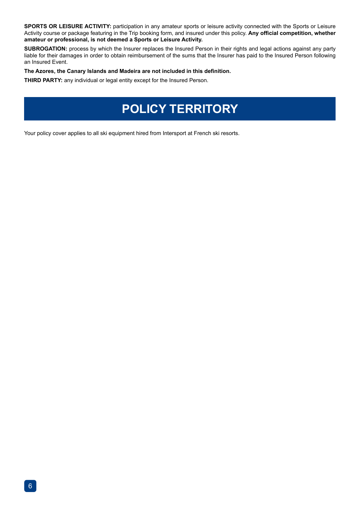**SPORTS OR LEISURE ACTIVITY:** participation in any amateur sports or leisure activity connected with the Sports or Leisure Activity course or package featuring in the Trip booking form, and insured under this policy. **Any official competition, whether amateur or professional, is not deemed a Sports or Leisure Activity.**

**SUBROGATION:** process by which the Insurer replaces the Insured Person in their rights and legal actions against any party liable for their damages in order to obtain reimbursement of the sums that the Insurer has paid to the Insured Person following an Insured Event.

#### **The Azores, the Canary Islands and Madeira are not included in this definition.**

**THIRD PARTY:** any individual or legal entity except for the Insured Person.

## **POLICY TERRITORY**

Your policy cover applies to all ski equipment hired from Intersport at French ski resorts.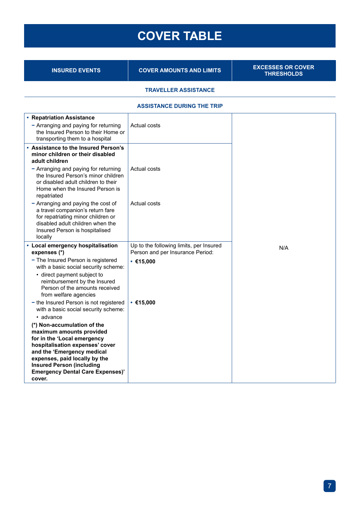## **COVER TABLE**

**INSURED EVENTS COVER AMOUNTS AND LIMITS** 

**EXCESSES OR COVER**<br>THRESHOLDS

#### **TRAVELLER ASSISTANCE**

#### **ASSISTANCE DURING THE TRIP**

| • Repatriation Assistance                                                                                                                                                                                                                                                                      |                                               |     |
|------------------------------------------------------------------------------------------------------------------------------------------------------------------------------------------------------------------------------------------------------------------------------------------------|-----------------------------------------------|-----|
| - Arranging and paying for returning<br>the Insured Person to their Home or<br>transporting them to a hospital                                                                                                                                                                                 | Actual costs                                  |     |
| . Assistance to the Insured Person's<br>minor children or their disabled<br>adult children                                                                                                                                                                                                     |                                               |     |
| - Arranging and paying for returning<br>the Insured Person's minor children<br>or disabled adult children to their<br>Home when the Insured Person is<br>repatriated                                                                                                                           | Actual costs                                  |     |
| - Arranging and paying the cost of<br>a travel companion's return fare<br>for repatriating minor children or<br>disabled adult children when the<br>Insured Person is hospitalised<br>locally                                                                                                  | Actual costs                                  |     |
| • Local emergency hospitalisation                                                                                                                                                                                                                                                              | Up to the following limits, per Insured       | N/A |
| expenses (*)<br>- The Insured Person is registered<br>with a basic social security scheme:<br>• direct payment subject to<br>reimbursement by the Insured<br>Person of the amounts received<br>from welfare agencies                                                                           | Person and per Insurance Period:<br>• €15.000 |     |
| - the Insured Person is not registered<br>with a basic social security scheme:                                                                                                                                                                                                                 | • €15.000                                     |     |
| • advance<br>(*) Non-accumulation of the<br>maximum amounts provided<br>for in the 'Local emergency<br>hospitalisation expenses' cover<br>and the 'Emergency medical<br>expenses, paid locally by the<br><b>Insured Person (including</b><br><b>Emergency Dental Care Expenses)'</b><br>cover. |                                               |     |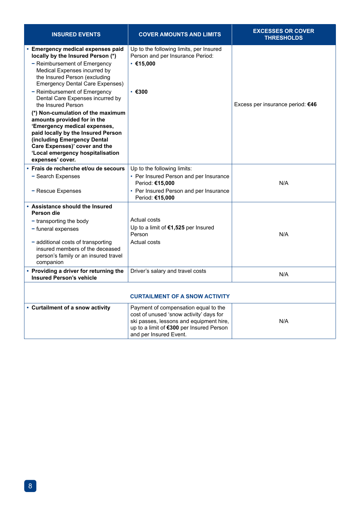| <b>INSURED EVENTS</b>                                                                                                                                                                                                                                                                                                                                                                                                                                                                                                                                     | <b>COVER AMOUNTS AND LIMITS</b>                                                                                                                                                                  | <b>EXCESSES OR COVER</b><br><b>THRESHOLDS</b> |
|-----------------------------------------------------------------------------------------------------------------------------------------------------------------------------------------------------------------------------------------------------------------------------------------------------------------------------------------------------------------------------------------------------------------------------------------------------------------------------------------------------------------------------------------------------------|--------------------------------------------------------------------------------------------------------------------------------------------------------------------------------------------------|-----------------------------------------------|
| • Emergency medical expenses paid<br>locally by the Insured Person (*)<br>- Reimbursement of Emergency<br>Medical Expenses incurred by<br>the Insured Person (excluding<br><b>Emergency Dental Care Expenses)</b><br>- Reimbursement of Emergency<br>Dental Care Expenses incurred by<br>the Insured Person<br>(*) Non-cumulation of the maximum<br>amounts provided for in the<br>'Emergency medical expenses,<br>paid locally by the Insured Person<br>(including Emergency Dental<br>Care Expenses)' cover and the<br>'Local emergency hospitalisation | Up to the following limits, per Insured<br>Person and per Insurance Period:<br>• €15.000<br>$\cdot$ $\epsilon$ 300                                                                               | Excess per insurance period: €46              |
| expenses' cover.<br>· Frais de recherche et/ou de secours                                                                                                                                                                                                                                                                                                                                                                                                                                                                                                 | Up to the following limits:                                                                                                                                                                      |                                               |
| - Search Expenses<br>- Rescue Expenses                                                                                                                                                                                                                                                                                                                                                                                                                                                                                                                    | • Per Insured Person and per Insurance<br>Period: €15,000<br>• Per Insured Person and per Insurance                                                                                              | N/A                                           |
|                                                                                                                                                                                                                                                                                                                                                                                                                                                                                                                                                           | Period: €15,000                                                                                                                                                                                  |                                               |
| • Assistance should the Insured<br>Person die                                                                                                                                                                                                                                                                                                                                                                                                                                                                                                             |                                                                                                                                                                                                  |                                               |
| - transporting the body                                                                                                                                                                                                                                                                                                                                                                                                                                                                                                                                   | Actual costs                                                                                                                                                                                     |                                               |
| - funeral expenses                                                                                                                                                                                                                                                                                                                                                                                                                                                                                                                                        | Up to a limit of €1,525 per Insured<br>Person                                                                                                                                                    | N/A                                           |
| - additional costs of transporting<br>insured members of the deceased<br>person's family or an insured travel<br>companion                                                                                                                                                                                                                                                                                                                                                                                                                                | Actual costs                                                                                                                                                                                     |                                               |
| • Providing a driver for returning the<br><b>Insured Person's vehicle</b>                                                                                                                                                                                                                                                                                                                                                                                                                                                                                 | Driver's salary and travel costs                                                                                                                                                                 | N/A                                           |
| <b>CURTAILMENT OF A SNOW ACTIVITY</b>                                                                                                                                                                                                                                                                                                                                                                                                                                                                                                                     |                                                                                                                                                                                                  |                                               |
| • Curtailment of a snow activity                                                                                                                                                                                                                                                                                                                                                                                                                                                                                                                          | Payment of compensation equal to the<br>cost of unused 'snow activity' days for<br>ski passes, lessons and equipment hire,<br>up to a limit of €300 per Insured Person<br>and per Insured Event. | N/A                                           |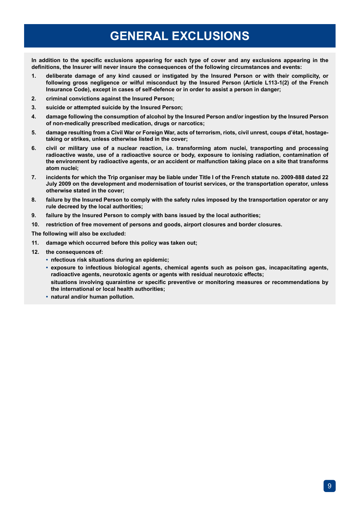### **GENERAL EXCLUSIONS**

**In addition to the specific exclusions appearing for each type of cover and any exclusions appearing in the definitions, the Insurer will never insure the consequences of the following circumstances and events:**

- **1. deliberate damage of any kind caused or instigated by the Insured Person or with their complicity, or following gross negligence or wilful misconduct by the Insured Person (Article L113-1(2) of the French Insurance Code), except in cases of self-defence or in order to assist a person in danger;**
- **2. criminal convictions against the Insured Person;**
- **3. suicide or attempted suicide by the Insured Person;**
- **4. damage following the consumption of alcohol by the Insured Person and/or ingestion by the Insured Person of non-medically prescribed medication, drugs or narcotics;**
- **5. damage resulting from a Civil War or Foreign War, acts of terrorism, riots, civil unrest, coups d'état, hostagetaking or strikes, unless otherwise listed in the cover;**
- **6. civil or military use of a nuclear reaction, i.e. transforming atom nuclei, transporting and processing radioactive waste, use of a radioactive source or body, exposure to ionising radiation, contamination of the environment by radioactive agents, or an accident or malfunction taking place on a site that transforms atom nuclei;**
- **7. incidents for which the Trip organiser may be liable under Title I of the French statute no. 2009-888 dated 22 July 2009 on the development and modernisation of tourist services, or the transportation operator, unless otherwise stated in the cover;**
- **8. failure by the Insured Person to comply with the safety rules imposed by the transportation operator or any rule decreed by the local authorities;**
- **9. failure by the Insured Person to comply with bans issued by the local authorities;**
- **10. restriction of free movement of persons and goods, airport closures and border closures.**

**The following will also be excluded:**

- **11. damage which occurred before this policy was taken out;**
- **12. the consequences of:** 
	- **• nfectious risk situations during an epidemic;**
	- **• exposure to infectious biological agents, chemical agents such as poison gas, incapacitating agents, radioactive agents, neurotoxic agents or agents with residual neurotoxic effects; situations involving quaraintine or specific preventive or monitoring measures or recommendations by the international or local health authorities;**
	- **• natural and/or human pollution.**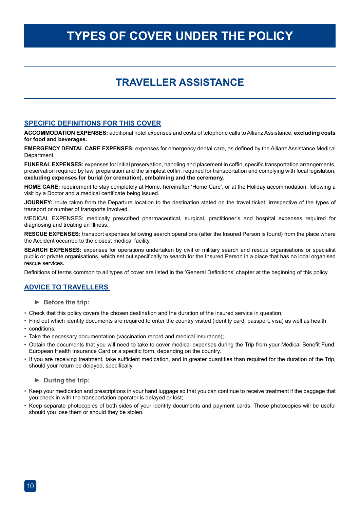### **TYPES OF COVER UNDER THE POLICY**

### **TRAVELLER ASSISTANCE**

#### **SPECIFIC DEFINITIONS FOR THIS COVER**

**ACCOMMODATION EXPENSES:** additional hotel expenses and costs of telephone calls to Allianz Assistance, **excluding costs for food and beverages.**

**EMERGENCY DENTAL CARE EXPENSES:** expenses for emergency dental care, as defined by the Allianz Assistance Medical Department.

**FUNERAL EXPENSES:** expenses for initial preservation, handling and placement in coffin, specific transportation arrangements, preservation required by law, preparation and the simplest coffin, required for transportation and complying with local legislation, **excluding expenses for burial (or cremation), embalming and the ceremony.**

**HOME CARE:** requirement to stay completely at Home, hereinafter 'Home Care', or at the Holiday accommodation, following a visit by a Doctor and a medical certificate being issued.

**JOURNEY:** route taken from the Departure location to the destination stated on the travel ticket, irrespective of the types of transport or number of transports involved.

MEDICAL EXPENSES: medically prescribed pharmaceutical, surgical, practitioner's and hospital expenses required for diagnosing and treating an Illness.

**RESCUE EXPENSES:** transport expenses following search operations (after the Insured Person is found) from the place where the Accident occurred to the closest medical facility.

**SEARCH EXPENSES:** expenses for operations undertaken by civil or military search and rescue organisations or specialist public or private organisations, which set out specifically to search for the Insured Person in a place that has no local organised rescue services.

Definitions of terms common to all types of cover are listed in the 'General Definitions' chapter at the beginning of this policy.

#### **ADVICE TO TRAVELLERS**

- **► Before the trip:**
- Check that this policy covers the chosen destination and the duration of the insured service in question;
- Find out which identity documents are required to enter the country visited (identity card, passport, visa) as well as health
- conditions;
- Take the necessary documentation (vaccination record and medical insurance);
- Obtain the documents that you will need to take to cover medical expenses during the Trip from your Medical Benefit Fund: European Health Insurance Card or a specific form, depending on the country.
- If you are receiving treatment, take sufficient medication, and in greater quantities than required for the duration of the Trip, should your return be delayed, specifically.

#### **► During the trip:**

- Keep your medication and prescriptions in your hand luggage so that you can continue to receive treatment if the baggage that you check in with the transportation operator is delayed or lost;
- Keep separate photocopies of both sides of your identity documents and payment cards. These photocopies will be useful should you lose them or should they be stolen.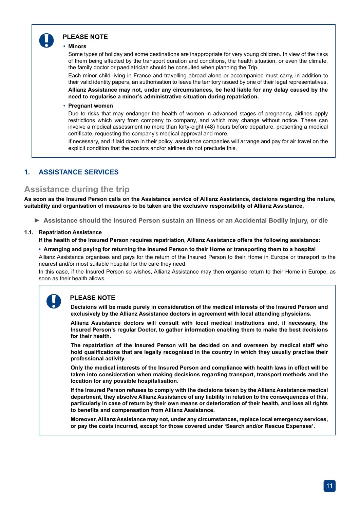

#### **PLEASE NOTE**

#### **• Minors**

Some types of holiday and some destinations are inappropriate for very young children. In view of the risks of them being affected by the transport duration and conditions, the health situation, or even the climate, the family doctor or paediatrician should be consulted when planning the Trip.

Each minor child living in France and travelling abroad alone or accompanied must carry, in addition to their valid identity papers, an authorisation to leave the territory issued by one of their legal representatives. **Allianz Assistance may not, under any circumstances, be held liable for any delay caused by the need to regularise a minor's administrative situation during repatriation.**

#### **• Pregnant women**

Due to risks that may endanger the health of women in advanced stages of pregnancy, airlines apply restrictions which vary from company to company, and which may change without notice. These can involve a medical assessment no more than forty-eight (48) hours before departure, presenting a medical certificate, requesting the company's medical approval and more.

If necessary, and if laid down in their policy, assistance companies will arrange and pay for air travel on the explicit condition that the doctors and/or airlines do not preclude this.

#### **1. ASSISTANCE SERVICES**

#### **Assistance during the trip**

**As soon as the Insured Person calls on the Assistance service of Allianz Assistance, decisions regarding the nature, suitability and organisation of measures to be taken are the exclusive responsibility of Allianz Assistance.**

**► Assistance should the Insured Person sustain an Illness or an Accidental Bodily Injury, or die** 

#### **1.1. Repatriation Assistance**

**If the health of the Insured Person requires repatriation, Allianz Assistance offers the following assistance:**

#### **• Arranging and paying for returning the Insured Person to their Home or transporting them to a hospital**

Allianz Assistance organises and pays for the return of the Insured Person to their Home in Europe or transport to the nearest and/or most suitable hospital for the care they need.

In this case, if the Insured Person so wishes, Allianz Assistance may then organise return to their Home in Europe, as soon as their health allows.

#### **PLEASE NOTE**

**Decisions will be made purely in consideration of the medical interests of the Insured Person and exclusively by the Allianz Assistance doctors in agreement with local attending physicians.**

**Allianz Assistance doctors will consult with local medical institutions and, if necessary, the Insured Person's regular Doctor, to gather information enabling them to make the best decisions for their health.**

**The repatriation of the Insured Person will be decided on and overseen by medical staff who hold qualifications that are legally recognised in the country in which they usually practise their professional activity.**

**Only the medical interests of the Insured Person and compliance with health laws in effect will be taken into consideration when making decisions regarding transport, transport methods and the location for any possible hospitalisation.**

**If the Insured Person refuses to comply with the decisions taken by the Allianz Assistance medical department, they absolve Allianz Assistance of any liability in relation to the consequences of this, particularly in case of return by their own means or deterioration of their health, and lose all rights to benefits and compensation from Allianz Assistance.**

**Moreover, Allianz Assistance may not, under any circumstances, replace local emergency services, or pay the costs incurred, except for those covered under 'Search and/or Rescue Expenses'.**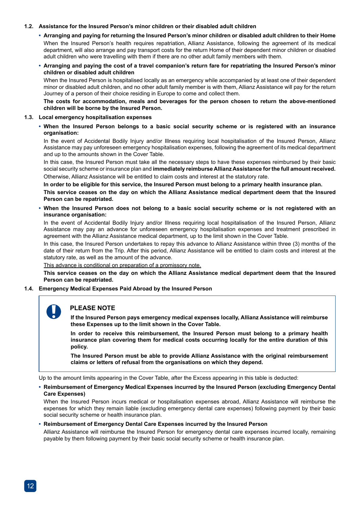#### **1.2. Assistance for the Insured Person's minor children or their disabled adult children**

#### **• Arranging and paying for returning the Insured Person's minor children or disabled adult children to their Home**

When the Insured Person's health requires repatriation, Allianz Assistance, following the agreement of its medical department, will also arrange and pay transport costs for the return Home of their dependent minor children or disabled adult children who were travelling with them if there are no other adult family members with them.

#### **• Arranging and paying the cost of a travel companion's return fare for repatriating the Insured Person's minor children or disabled adult children**

When the Insured Person is hospitalised locally as an emergency while accompanied by at least one of their dependent minor or disabled adult children, and no other adult family member is with them, Allianz Assistance will pay for the return Journey of a person of their choice residing in Europe to come and collect them.

**The costs for accommodation, meals and beverages for the person chosen to return the above-mentioned children will be borne by the Insured Person.**

#### **1.3. Local emergency hospitalisation expenses**

#### **• When the Insured Person belongs to a basic social security scheme or is registered with an insurance organisation:**

In the event of Accidental Bodily Injury and/or Illness requiring local hospitalisation of the Insured Person, Allianz Assistance may pay unforeseen emergency hospitalisation expenses, following the agreement of its medical department and up to the amounts shown in the Cover Table.

In this case, the Insured Person must take all the necessary steps to have these expenses reimbursed by their basic social security scheme or insurance plan and **immediately reimburse Allianz Assistance for the full amount received.**

Otherwise, Allianz Assistance will be entitled to claim costs and interest at the statutory rate.

**In order to be eligible for this service, the Insured Person must belong to a primary health insurance plan.**

**This service ceases on the day on which the Allianz Assistance medical department deem that the Insured Person can be repatriated.**

#### **• When the Insured Person does not belong to a basic social security scheme or is not registered with an insurance organisation:**

In the event of Accidental Bodily Injury and/or Illness requiring local hospitalisation of the Insured Person, Allianz Assistance may pay an advance for unforeseen emergency hospitalisation expenses and treatment prescribed in agreement with the Allianz Assistance medical department, up to the limit shown in the Cover Table.

In this case, the Insured Person undertakes to repay this advance to Allianz Assistance within three (3) months of the date of their return from the Trip. After this period, Allianz Assistance will be entitled to claim costs and interest at the statutory rate, as well as the amount of the advance.

This advance is conditional on preparation of a promissory note.

**This service ceases on the day on which the Allianz Assistance medical department deem that the Insured Person can be repatriated.**

#### **1.4. Emergency Medical Expenses Paid Abroad by the Insured Person**

#### **PLEASE NOTE**

**If the Insured Person pays emergency medical expenses locally, Allianz Assistance will reimburse these Expenses up to the limit shown in the Cover Table.** 

**In order to receive this reimbursement, the Insured Person must belong to a primary health insurance plan covering them for medical costs occurring locally for the entire duration of this policy.**

**The Insured Person must be able to provide Allianz Assistance with the original reimbursement claims or letters of refusal from the organisations on which they depend.**

Up to the amount limits appearing in the Cover Table, after the Excess appearing in this table is deducted:

#### **• Reimbursement of Emergency Medical Expenses incurred by the Insured Person (excluding Emergency Dental Care Expenses)**

When the Insured Person incurs medical or hospitalisation expenses abroad, Allianz Assistance will reimburse the expenses for which they remain liable (excluding emergency dental care expenses) following payment by their basic social security scheme or health insurance plan.

#### **• Reimbursement of Emergency Dental Care Expenses incurred by the Insured Person**

Allianz Assistance will reimburse the Insured Person for emergency dental care expenses incurred locally, remaining payable by them following payment by their basic social security scheme or health insurance plan.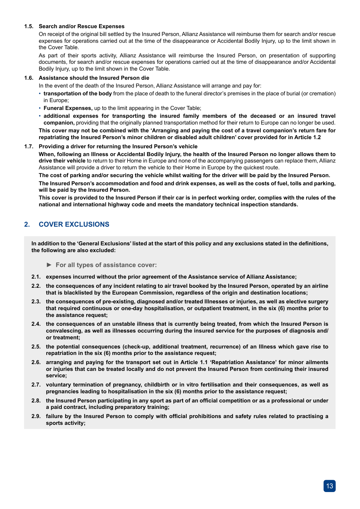#### **1.5. Search and/or Rescue Expenses**

On receipt of the original bill settled by the Insured Person, Allianz Assistance will reimburse them for search and/or rescue expenses for operations carried out at the time of the disappearance or Accidental Bodily Injury, up to the limit shown in the Cover Table.

As part of their sports activity, Allianz Assistance will reimburse the Insured Person, on presentation of supporting documents, for search and/or rescue expenses for operations carried out at the time of disappearance and/or Accidental Bodily Injury, up to the limit shown in the Cover Table.

#### **1.6. Assistance should the Insured Person die**

In the event of the death of the Insured Person, Allianz Assistance will arrange and pay for:

- **transportation of the body** from the place of death to the funeral director's premises in the place of burial (or cremation) in Europe;
- **Funeral Expenses,** up to the limit appearing in the Cover Table;
- **additional expenses for transporting the insured family members of the deceased or an insured travel companion,** providing that the originally planned transportation method for their return to Europe can no longer be used. **This cover may not be combined with the 'Arranging and paying the cost of a travel companion's return fare for repatriating the Insured Person's minor children or disabled adult children' cover provided for in Article 1.2**

#### **1.7. Providing a driver for returning the Insured Person's vehicle**

**When, following an Illness or Accidental Bodily Injury, the health of the Insured Person no longer allows them to drive their vehicle** to return to their Home in Europe and none of the accompanying passengers can replace them, Allianz Assistance will provide a driver to return the vehicle to their Home in Europe by the quickest route.

**The cost of parking and/or securing the vehicle whilst waiting for the driver will be paid by the Insured Person. The Insured Person's accommodation and food and drink expenses, as well as the costs of fuel, tolls and parking, will be paid by the Insured Person.** 

**This cover is provided to the Insured Person if their car is in perfect working order, complies with the rules of the national and international highway code and meets the mandatory technical inspection standards.**

#### **2. COVER EXCLUSIONS**

**In addition to the 'General Exclusions' listed at the start of this policy and any exclusions stated in the definitions, the following are also excluded:**

- **► For all types of assistance cover:**
- **2.1. expenses incurred without the prior agreement of the Assistance service of Allianz Assistance;**
- **2.2. the consequences of any incident relating to air travel booked by the Insured Person, operated by an airline that is blacklisted by the European Commission, regardless of the origin and destination locations;**
- **2.3. the consequences of pre-existing, diagnosed and/or treated Illnesses or injuries, as well as elective surgery that required continuous or one-day hospitalisation, or outpatient treatment, in the six (6) months prior to the assistance request;**
- **2.4. the consequences of an unstable illness that is currently being treated, from which the Insured Person is convalescing, as well as illnesses occurring during the insured service for the purposes of diagnosis and/ or treatment;**
- **2.5. the potential consequences (check-up, additional treatment, recurrence) of an Illness which gave rise to repatriation in the six (6) months prior to the assistance request;**
- **2.6. arranging and paying for the transport set out in Article 1.1 'Repatriation Assistance' for minor ailments or injuries that can be treated locally and do not prevent the Insured Person from continuing their insured service;**
- **2.7. voluntary termination of pregnancy, childbirth or in vitro fertilisation and their consequences, as well as pregnancies leading to hospitalisation in the six (6) months prior to the assistance request;**
- **2.8. the Insured Person participating in any sport as part of an official competition or as a professional or under a paid contract, including preparatory training;**
- **2.9. failure by the Insured Person to comply with official prohibitions and safety rules related to practising a sports activity;**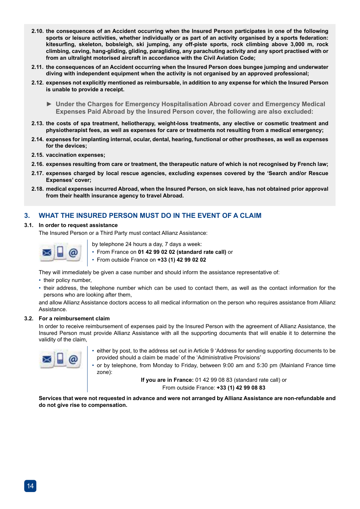- **2.10. the consequences of an Accident occurring when the Insured Person participates in one of the following sports or leisure activities, whether individually or as part of an activity organised by a sports federation: kitesurfing, skeleton, bobsleigh, ski jumping, any off-piste sports, rock climbing above 3,000 m, rock climbing, caving, hang-gliding, gliding, paragliding, any parachuting activity and any sport practised with or from an ultralight motorised aircraft in accordance with the Civil Aviation Code;**
- **2.11. the consequences of an Accident occurring when the Insured Person does bungee jumping and underwater diving with independent equipment when the activity is not organised by an approved professional;**
- **2.12. expenses not explicitly mentioned as reimbursable, in addition to any expense for which the Insured Person is unable to provide a receipt.**
	- **► Under the Charges for Emergency Hospitalisation Abroad cover and Emergency Medical Expenses Paid Abroad by the Insured Person cover, the following are also excluded:**
- **2.13. the costs of spa treatment, heliotherapy, weight-loss treatments, any elective or cosmetic treatment and physiotherapist fees, as well as expenses for care or treatments not resulting from a medical emergency;**
- **2.14. expenses for implanting internal, ocular, dental, hearing, functional or other prostheses, as well as expenses for the devices;**
- **2.15. vaccination expenses;**
- **2.16. expenses resulting from care or treatment, the therapeutic nature of which is not recognised by French law;**
- **2.17. expenses charged by local rescue agencies, excluding expenses covered by the 'Search and/or Rescue Expenses' cover;**
- **2.18. medical expenses incurred Abroad, when the Insured Person, on sick leave, has not obtained prior approval from their health insurance agency to travel Abroad.**

#### **3. WHAT THE INSURED PERSON MUST DO IN THE EVENT OF A CLAIM**

#### **3.1. In order to request assistance**

The Insured Person or a Third Party must contact Allianz Assistance:



by telephone 24 hours a day, 7 days a week:

• From France on **01 42 99 02 02 (standard rate call)** or

• From outside France on **+33 (1) 42 99 02 02**

They will immediately be given a case number and should inform the assistance representative of:

- their policy number
- their address, the telephone number which can be used to contact them, as well as the contact information for the persons who are looking after them,

and allow Allianz Assistance doctors access to all medical information on the person who requires assistance from Allianz **Assistance** 

#### **3.2. For a reimbursement claim**

In order to receive reimbursement of expenses paid by the Insured Person with the agreement of Allianz Assistance, the Insured Person must provide Allianz Assistance with all the supporting documents that will enable it to determine the validity of the claim,



• either by post, to the address set out in Article 9 'Address for sending supporting documents to be provided should a claim be made' of the 'Administrative Provisions'

• or by telephone, from Monday to Friday, between 9:00 am and 5:30 pm (Mainland France time zone):

> **If you are in France:** 01 42 99 08 83 (standard rate call) or From outside France: **+33 (1) 42 99 08 83**

**Services that were not requested in advance and were not arranged by Allianz Assistance are non-refundable and do not give rise to compensation.**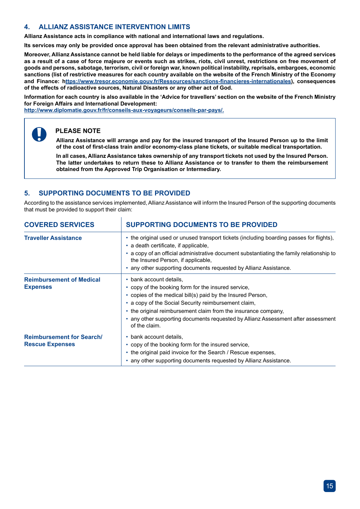#### **4. ALLIANZ ASSISTANCE INTERVENTION LIMITS**

**Allianz Assistance acts in compliance with national and international laws and regulations.**

**Its services may only be provided once approval has been obtained from the relevant administrative authorities.**

**Moreover, Allianz Assistance cannot be held liable for delays or impediments to the performance of the agreed services as a result of a case of force majeure or events such as strikes, riots, civil unrest, restrictions on free movement of goods and persons, sabotage, terrorism, civil or foreign war, known political instability, reprisals, embargoes, economic sanctions (list of restrictive measures for each country available on the website of the French Ministry of the Economy and Finance: https://www.tresor.economie.gouv.fr/Ressources/sanctions-financieres-internationales), consequences of the effects of radioactive sources, Natural Disasters or any other act of God.**

**Information for each country is also available in the 'Advice for travellers' section on the website of the French Ministry for Foreign Affairs and International Development:** 

**http://www.diplomatie.gouv.fr/fr/conseils-aux-voyageurs/conseils-par-pays/.**



**Allianz Assistance will arrange and pay for the insured transport of the Insured Person up to the limit of the cost of first-class train and/or economy-class plane tickets, or suitable medical transportation.**

**In all cases, Allianz Assistance takes ownership of any transport tickets not used by the Insured Person. The latter undertakes to return these to Allianz Assistance or to transfer to them the reimbursement obtained from the Approved Trip Organisation or Intermediary.**

#### **5. SUPPORTING DOCUMENTS TO BE PROVIDED**

According to the assistance services implemented, Allianz Assistance will inform the Insured Person of the supporting documents that must be provided to support their claim:

| <b>COVERED SERVICES</b>                                    | <b>SUPPORTING DOCUMENTS TO BE PROVIDED</b>                                                                                                                                                                                                                                                                                                                                    |
|------------------------------------------------------------|-------------------------------------------------------------------------------------------------------------------------------------------------------------------------------------------------------------------------------------------------------------------------------------------------------------------------------------------------------------------------------|
| <b>Traveller Assistance</b>                                | • the original used or unused transport tickets (including boarding passes for flights),<br>• a death certificate, if applicable,<br>• a copy of an official administrative document substantiating the family relationship to<br>the Insured Person, if applicable,<br>• any other supporting documents requested by Allianz Assistance.                                     |
| <b>Reimbursement of Medical</b><br><b>Expenses</b>         | • bank account details,<br>• copy of the booking form for the insured service,<br>• copies of the medical bill(s) paid by the Insured Person,<br>• a copy of the Social Security reimbursement claim,<br>• the original reimbursement claim from the insurance company,<br>• any other supporting documents requested by Allianz Assessment after assessment<br>of the claim. |
| <b>Reimbursement for Search/</b><br><b>Rescue Expenses</b> | • bank account details,<br>• copy of the booking form for the insured service,<br>• the original paid invoice for the Search / Rescue expenses,<br>• any other supporting documents requested by Allianz Assistance.                                                                                                                                                          |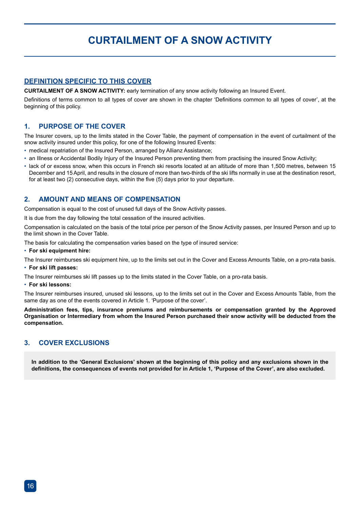### **CURTAILMENT OF A SNOW ACTIVITY**

#### **DEFINITION SPECIFIC TO THIS COVER**

**CURTAILMENT OF A SNOW ACTIVITY:** early termination of any snow activity following an Insured Event.

Definitions of terms common to all types of cover are shown in the chapter 'Definitions common to all types of cover', at the beginning of this policy.

#### **1. PURPOSE OF THE COVER**

The Insurer covers, up to the limits stated in the Cover Table, the payment of compensation in the event of curtailment of the snow activity insured under this policy, for one of the following Insured Events:

- medical repatriation of the Insured Person, arranged by Allianz Assistance;
- an Illness or Accidental Bodily Injury of the Insured Person preventing them from practising the insured Snow Activity;
- lack of or excess snow, when this occurs in French ski resorts located at an altitude of more than 1,500 metres, between 15 December and 15 April, and results in the closure of more than two-thirds of the ski lifts normally in use at the destination resort, for at least two (2) consecutive days, within the five (5) days prior to your departure.

#### **2. AMOUNT AND MEANS OF COMPENSATION**

Compensation is equal to the cost of unused full days of the Snow Activity passes.

It is due from the day following the total cessation of the insured activities.

Compensation is calculated on the basis of the total price per person of the Snow Activity passes, per Insured Person and up to the limit shown in the Cover Table.

The basis for calculating the compensation varies based on the type of insured service:

• **For ski equipment hire:**

The Insurer reimburses ski equipment hire, up to the limits set out in the Cover and Excess Amounts Table, on a pro-rata basis.

• **For ski lift passes:**

The Insurer reimburses ski lift passes up to the limits stated in the Cover Table, on a pro-rata basis.

#### • **For ski lessons:**

The Insurer reimburses insured, unused ski lessons, up to the limits set out in the Cover and Excess Amounts Table, from the same day as one of the events covered in Article 1. 'Purpose of the cover'.

**Administration fees, tips, insurance premiums and reimbursements or compensation granted by the Approved Organisation or Intermediary from whom the Insured Person purchased their snow activity will be deducted from the compensation.**

#### **3. COVER EXCLUSIONS**

**In addition to the 'General Exclusions' shown at the beginning of this policy and any exclusions shown in the definitions, the consequences of events not provided for in Article 1, 'Purpose of the Cover', are also excluded.**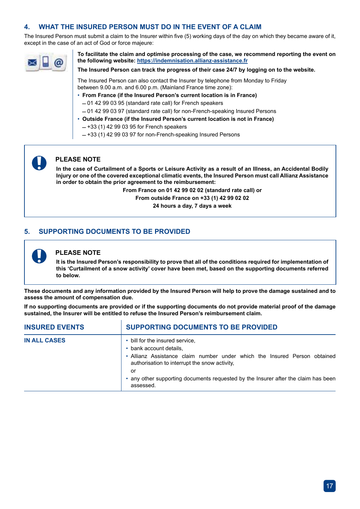#### **4. WHAT THE INSURED PERSON MUST DO IN THE EVENT OF A CLAIM**

The Insured Person must submit a claim to the Insurer within five (5) working days of the day on which they became aware of it, except in the case of an act of God or force majeure:



**To facilitate the claim and optimise processing of the case, we recommend reporting the event on the following website: https://indemnisation.allianz-assistance.fr**

**The Insured Person can track the progress of their case 24/7 by logging on to the website.** 

The Insured Person can also contact the Insurer by telephone from Monday to Friday between 9.00 a.m. and 6.00 p.m. (Mainland France time zone):

• **From France (if the Insured Person's current location is in France)**  $-01$  42 99 03 95 (standard rate call) for French speakers

 $-01$  42 99 03 97 (standard rate call) for non-French-speaking Insured Persons

- **Outside France (if the Insured Person's current location is not in France)**
	- $-$  +33 (1) 42 99 03 95 for French speakers
	- $-$  +33 (1) 42 99 03 97 for non-French-speaking Insured Persons

### **PLEASE NOTE**

**In the case of Curtailment of a Sports or Leisure Activity as a result of an Illness, an Accidental Bodily Injury or one of the covered exceptional climatic events, the Insured Person must call Allianz Assistance in order to obtain the prior agreement to the reimbursement:**

**From France on 01 42 99 02 02 (standard rate call) or**

**From outside France on +33 (1) 42 99 02 02 24 hours a day, 7 days a week** 

### **5. SUPPORTING DOCUMENTS TO BE PROVIDED**



#### **PLEASE NOTE**

**It is the Insured Person's responsibility to prove that all of the conditions required for implementation of this 'Curtailment of a snow activity' cover have been met, based on the supporting documents referred to below.**

**These documents and any information provided by the Insured Person will help to prove the damage sustained and to assess the amount of compensation due.**

**If no supporting documents are provided or if the supporting documents do not provide material proof of the damage sustained, the Insurer will be entitled to refuse the Insured Person's reimbursement claim.**

| <b>INSURED EVENTS</b> | <b>SUPPORTING DOCUMENTS TO BE PROVIDED</b>                                                                                                                                                     |  |
|-----------------------|------------------------------------------------------------------------------------------------------------------------------------------------------------------------------------------------|--|
| <b>IN ALL CASES</b>   | • bill for the insured service,<br>• bank account details.<br>• Allianz Assistance claim number under which the Insured Person obtained<br>authorisation to interrupt the snow activity.<br>or |  |
|                       | • any other supporting documents requested by the Insurer after the claim has been<br>assessed.                                                                                                |  |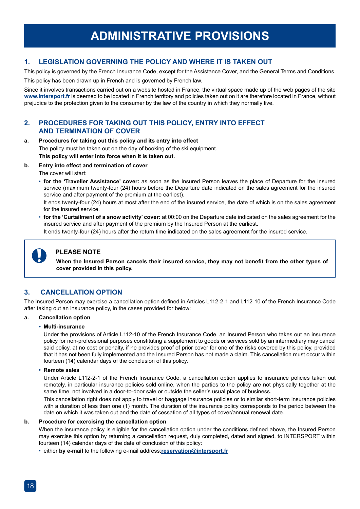#### **1. LEGISLATION GOVERNING THE POLICY AND WHERE IT IS TAKEN OUT**

This policy is governed by the French Insurance Code, except for the Assistance Cover, and the General Terms and Conditions.

This policy has been drawn up in French and is governed by French law.

Since it involves transactions carried out on a website hosted in France, the virtual space made up of the web pages of the site **www.intersport.fr** is deemed to be located in French territory and policies taken out on it are therefore located in France, without prejudice to the protection given to the consumer by the law of the country in which they normally live.

#### **2. PROCEDURES FOR TAKING OUT THIS POLICY, ENTRY INTO EFFECT AND TERMINATION OF COVER**

#### **a. Procedures for taking out this policy and its entry into effect**

The policy must be taken out on the day of booking of the ski equipment. **This policy will enter into force when it is taken out.** 

#### **b. Entry into effect and termination of cover**

The cover will start:

• **for the 'Traveller Assistance' cover:** as soon as the Insured Person leaves the place of Departure for the insured service (maximum twenty-four (24) hours before the Departure date indicated on the sales agreement for the insured service and after payment of the premium at the earliest).

It ends twenty-four (24) hours at most after the end of the insured service, the date of which is on the sales agreement for the insured service.

• **for the 'Curtailment of a snow activity' cover:** at 00:00 on the Departure date indicated on the sales agreement for the insured service and after payment of the premium by the Insured Person at the earliest.

It ends twenty-four (24) hours after the return time indicated on the sales agreement for the insured service.



#### **PLEASE NOTE**

**When the Insured Person cancels their insured service, they may not benefit from the other types of cover provided in this policy.**

#### **3. CANCELLATION OPTION**

The Insured Person may exercise a cancellation option defined in Articles L112-2-1 and L112-10 of the French Insurance Code after taking out an insurance policy, in the cases provided for below:

### **a. Cancellation option**

#### **• Multi-insurance**

Under the provisions of Article L112-10 of the French Insurance Code, an Insured Person who takes out an insurance policy for non-professional purposes constituting a supplement to goods or services sold by an intermediary may cancel said policy, at no cost or penalty, if he provides proof of prior cover for one of the risks covered by this policy, provided that it has not been fully implemented and the Insured Person has not made a claim. This cancellation must occur within fourteen (14) calendar days of the conclusion of this policy.

#### **• Remote sales**

Under Article L112-2-1 of the French Insurance Code, a cancellation option applies to insurance policies taken out remotely, in particular insurance policies sold online, when the parties to the policy are not physically together at the same time, not involved in a door-to-door sale or outside the seller's usual place of business.

This cancellation right does not apply to travel or baggage insurance policies or to similar short-term insurance policies with a duration of less than one (1) month. The duration of the insurance policy corresponds to the period between the date on which it was taken out and the date of cessation of all types of cover/annual renewal date.

#### **b. Procedure for exercising the cancellation option**

When the insurance policy is eligible for the cancellation option under the conditions defined above, the Insured Person may exercise this option by returning a cancellation request, duly completed, dated and signed, to INTERSPORT within fourteen (14) calendar days of the date of conclusion of this policy:

• either **by e-mail** to the following e-mail address:**reservation@intersport.fr**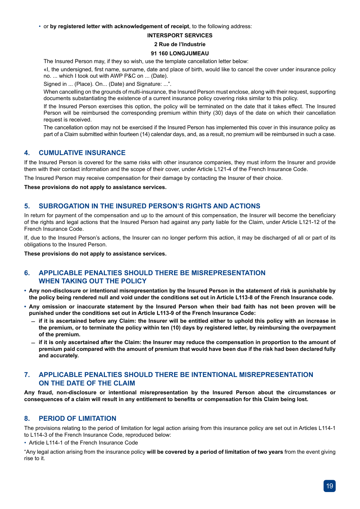• or **by registered letter with acknowledgement of receipt**, to the following address:

#### **INTERSPORT SERVICES**

#### **2 Rue de l'Industrie**

#### **91 160 LONGJUMEAU**

The Insured Person may, if they so wish, use the template cancellation letter below:

«I, the undersigned, first name, surname, date and place of birth, would like to cancel the cover under insurance policy no. ... which I took out with AWP P&C on ... (Date).

Signed in ... (Place). On... (Date) and Signature: ...".

When cancelling on the grounds of multi-insurance, the Insured Person must enclose, along with their request, supporting documents substantiating the existence of a current insurance policy covering risks similar to this policy.

If the Insured Person exercises this option, the policy will be terminated on the date that it takes effect. The Insured Person will be reimbursed the corresponding premium within thirty (30) days of the date on which their cancellation request is received.

The cancellation option may not be exercised if the Insured Person has implemented this cover in this insurance policy as part of a Claim submitted within fourteen (14) calendar days, and, as a result, no premium will be reimbursed in such a case.

#### **4. CUMULATIVE INSURANCE**

If the Insured Person is covered for the same risks with other insurance companies, they must inform the Insurer and provide them with their contact information and the scope of their cover, under Article L121-4 of the French Insurance Code.

The Insured Person may receive compensation for their damage by contacting the Insurer of their choice.

**These provisions do not apply to assistance services.**

#### **5. SUBROGATION IN THE INSURED PERSON'S RIGHTS AND ACTIONS**

In return for payment of the compensation and up to the amount of this compensation, the Insurer will become the beneficiary of the rights and legal actions that the Insured Person had against any party liable for the Claim, under Article L121-12 of the French Insurance Code.

If, due to the Insured Person's actions, the Insurer can no longer perform this action, it may be discharged of all or part of its obligations to the Insured Person.

**These provisions do not apply to assistance services.**

#### **6. APPLICABLE PENALTIES SHOULD THERE BE MISREPRESENTATION WHEN TAKING OUT THE POLICY**

- **• Any non-disclosure or intentional misrepresentation by the Insured Person in the statement of risk is punishable by the policy being rendered null and void under the conditions set out in Article L113-8 of the French Insurance code.**
- **• Any omission or inaccurate statement by the Insured Person when their bad faith has not been proven will be punished under the conditions set out in Article L113-9 of the French Insurance Code:**
	- $-$  if it is ascertained before any Claim: the Insurer will be entitled either to uphold this policy with an increase in **the premium, or to terminate the policy within ten (10) days by registered letter, by reimbursing the overpayment of the premium.**
	- $-$  if it is only ascertained after the Claim: the Insurer may reduce the compensation in proportion to the amount of **premium paid compared with the amount of premium that would have been due if the risk had been declared fully and accurately.**

#### **7. APPLICABLE PENALTIES SHOULD THERE BE INTENTIONAL MISREPRESENTATION ON THE DATE OF THE CLAIM**

**Any fraud, non-disclosure or intentional misrepresentation by the Insured Person about the circumstances or consequences of a claim will result in any entitlement to benefits or compensation for this Claim being lost.**

#### **8. PERIOD OF LIMITATION**

The provisions relating to the period of limitation for legal action arising from this insurance policy are set out in Articles L114-1 to L114-3 of the French Insurance Code, reproduced below:

• Article L114-1 of the French Insurance Code

"Any legal action arising from the insurance policy **will be covered by a period of limitation of two years** from the event giving rise to it.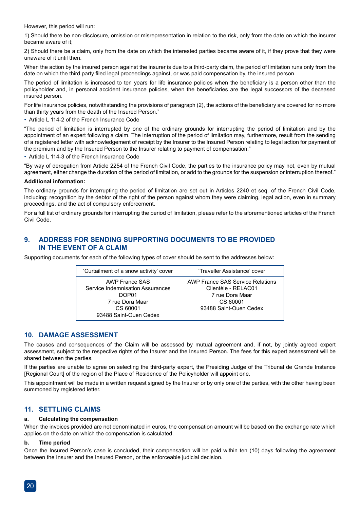However, this period will run:

1) Should there be non-disclosure, omission or misrepresentation in relation to the risk, only from the date on which the insurer became aware of it;

2) Should there be a claim, only from the date on which the interested parties became aware of it, if they prove that they were unaware of it until then.

When the action by the insured person against the insurer is due to a third-party claim, the period of limitation runs only from the date on which the third party filed legal proceedings against, or was paid compensation by, the insured person.

The period of limitation is increased to ten years for life insurance policies when the beneficiary is a person other than the policyholder and, in personal accident insurance policies, when the beneficiaries are the legal successors of the deceased insured person.

For life insurance policies, notwithstanding the provisions of paragraph (2), the actions of the beneficiary are covered for no more than thirty years from the death of the Insured Person."

• Article L 114-2 of the French Insurance Code

"The period of limitation is interrupted by one of the ordinary grounds for interrupting the period of limitation and by the appointment of an expert following a claim. The interruption of the period of limitation may, furthermore, result from the sending of a registered letter with acknowledgement of receipt by the Insurer to the Insured Person relating to legal action for payment of the premium and by the Insured Person to the Insurer relating to payment of compensation."

• Article L 114-3 of the French Insurance Code

"By way of derogation from Article 2254 of the French Civil Code, the parties to the insurance policy may not, even by mutual agreement, either change the duration of the period of limitation, or add to the grounds for the suspension or interruption thereof."

#### **Additional information:**

The ordinary grounds for interrupting the period of limitation are set out in Articles 2240 et seq. of the French Civil Code, including: recognition by the debtor of the right of the person against whom they were claiming, legal action, even in summary proceedings, and the act of compulsory enforcement.

For a full list of ordinary grounds for interrupting the period of limitation, please refer to the aforementioned articles of the French Civil Code.

#### **9. ADDRESS FOR SENDING SUPPORTING DOCUMENTS TO BE PROVIDED IN THE EVENT OF A CLAIM**

Supporting documents for each of the following types of cover should be sent to the addresses below:

| 'Curtailment of a snow activity' cover                                                                               | 'Traveller Assistance' cover                                                                                            |
|----------------------------------------------------------------------------------------------------------------------|-------------------------------------------------------------------------------------------------------------------------|
| AWP France SAS<br>Service Indemnisation Assurances<br>DOP01<br>7 rue Dora Maar<br>CS 60001<br>93488 Saint-Ouen Cedex | <b>AWP France SAS Service Relations</b><br>Clientèle - RELAC01<br>7 rue Dora Maar<br>CS 60001<br>93488 Saint-Ouen Cedex |
|                                                                                                                      |                                                                                                                         |

#### **10. DAMAGE ASSESSMENT**

The causes and consequences of the Claim will be assessed by mutual agreement and, if not, by jointly agreed expert assessment, subject to the respective rights of the Insurer and the Insured Person. The fees for this expert assessment will be shared between the parties.

If the parties are unable to agree on selecting the third-party expert, the Presiding Judge of the Tribunal de Grande Instance [Regional Court] of the region of the Place of Residence of the Policyholder will appoint one.

This appointment will be made in a written request signed by the Insurer or by only one of the parties, with the other having been summoned by registered letter.

#### **11. SETTLING CLAIMS**

#### **a. Calculating the compensation**

When the invoices provided are not denominated in euros, the compensation amount will be based on the exchange rate which applies on the date on which the compensation is calculated.

#### **b. Time period**

Once the Insured Person's case is concluded, their compensation will be paid within ten (10) days following the agreement between the Insurer and the Insured Person, or the enforceable judicial decision.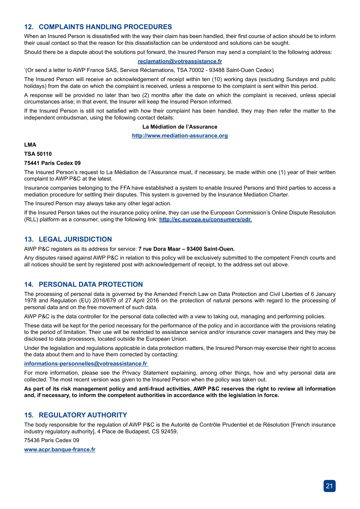#### **12. COMPLAINTS HANDLING PROCEDURES**

When an Insured Person is dissatisfied with the way their claim has been handled, their first course of action should be to inform their usual contact so that the reason for this dissatisfaction can be understood and solutions can be sought.

Should there be a dispute about the solutions put forward, the Insured Person may send a complaint to the following address:

#### **reclamation@votreassistance.fr**

'(Or send a letter to AWP France SAS, Service Réclamations, TSA 70002 - 93488 Saint-Ouen Cedex)

The Insured Person will receive an acknowledgement of receipt within ten (10) working days (excluding Sundays and public holidays) from the date on which the complaint is received, unless a response to the complaint is sent within this period.

A response will be provided no later than two (2) months after the date on which the complaint is received, unless special circumstances arise; in that event, the Insurer will keep the Insured Person informed.

If the Insured Person is still not satisfied with how their complaint has been handled, they may then refer the matter to the independent ombudsman, using the following contact details:

#### **La Médiation de l'Assurance**

#### **http://www.mediation-assurance.org**

#### **LMA**

#### **TSA 50110**

#### **75441 Paris Cedex 09**

The Insured Person's request to La Médiation de l'Assurance must, if necessary, be made within one (1) year of their written complaint to AWP P&C at the latest.

Insurance companies belonging to the FFA have established a system to enable Insured Persons and third parties to access a mediation procedure for settling their disputes. This system is governed by the Insurance Mediation Charter.

The Insured Person may always take any other legal action.

If the Insured Person takes out the insurance policy online, they can use the European Commission's Online Dispute Resolution (RLL) platform as a consumer, using the following link: **http://ec.europa.eu/consumers/odr.**

#### **13. LEGAL JURISDICTION**

AWP P&C registers as its address for service: **7 rue Dora Maar – 93400 Saint-Ouen.**

Any disputes raised against AWP P&C in relation to this policy will be exclusively submitted to the competent French courts and all notices should be sent by registered post with acknowledgement of receipt, to the address set out above.

#### **14. PERSONAL DATA PROTECTION**

The processing of personal data is governed by the Amended French Law on Data Protection and Civil Liberties of 6 January 1978 and Regulation (EU) 2016/679 of 27 April 2016 on the protection of natural persons with regard to the processing of personal data and on the free movement of such data.

AWP P&C is the data controller for the personal data collected with a view to taking out, managing and performing policies.

These data will be kept for the period necessary for the performance of the policy and in accordance with the provisions relating to the period of limitation. Their use will be restricted to assistance service and/or insurance cover managers and they may be disclosed to data processors, located outside the European Union.

Under the legislation and regulations applicable in data protection matters, the Insured Person may exercise their right to access the data about them and to have them corrected by contacting:

#### **informations-personnelles@votreassistance.fr**

For more information, please see the Privacy Statement explaining, among other things, how and why personal data are collected. The most recent version was given to the Insured Person when the policy was taken out.

**As part of its risk management policy and anti-fraud activities, AWP P&C reserves the right to review all information and, if necessary, to inform the competent authorities in accordance with the legislation in force.**

#### **15. REGULATORY AUTHORITY**

The body responsible for the regulation of AWP P&C is the Autorité de Contrôle Prudentiel et de Résolution [French insurance industry regulatory authority], 4 Place de Budapest, CS 92459,

75436 Paris Cedex 09

**www.acpr.banque-france.fr**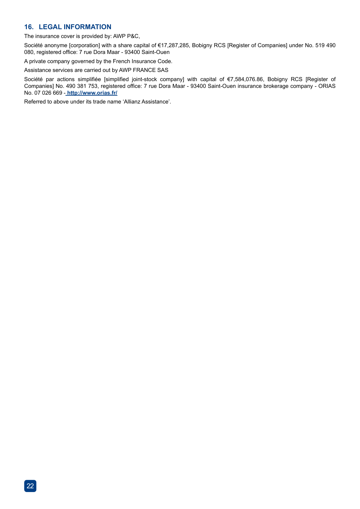#### **16. LEGAL INFORMATION**

The insurance cover is provided by: AWP P&C,

Société anonyme [corporation] with a share capital of €17,287,285, Bobigny RCS [Register of Companies] under No. 519 490 080, registered office: 7 rue Dora Maar - 93400 Saint-Ouen

A private company governed by the French Insurance Code.

Assistance services are carried out by AWP FRANCE SAS

Société par actions simplifiée [simplified joint-stock company] with capital of €7,584,076.86, Bobigny RCS [Register of Companies] No. 490 381 753, registered office: 7 rue Dora Maar - 93400 Saint-Ouen insurance brokerage company - ORIAS No. 07 026 669 - **http://www.orias.fr/**

Referred to above under its trade name 'Allianz Assistance'.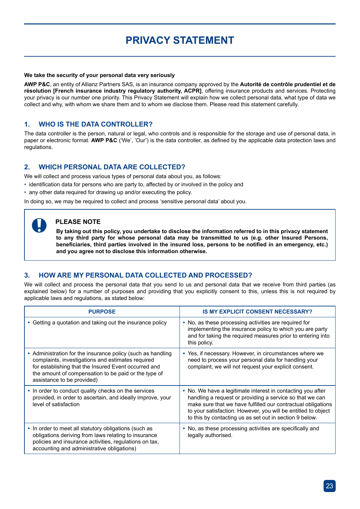### **PRIVACY STATEMENT**

#### **We take the security of your personal data very seriously**

**AWP P&C**, an entity of Allianz Partners SAS, is an insurance company approved by the **Autorité de contrôle prudentiel et de résolution [French insurance industry regulatory authority, ACPR]**, offering insurance products and services. Protecting your privacy is our number one priority. This Privacy Statement will explain how we collect personal data, what type of data we collect and why, with whom we share them and to whom we disclose them. Please read this statement carefully.

#### **1. WHO IS THE DATA CONTROLLER?**

The data controller is the person, natural or legal, who controls and is responsible for the storage and use of personal data, in paper or electronic format. **AWP P&C** ('We', 'Our') is the data controller, as defined by the applicable data protection laws and regulations.

#### **2. WHICH PERSONAL DATA ARE COLLECTED?**

We will collect and process various types of personal data about you, as follows:

- identification data for persons who are party to, affected by or involved in the policy and
- any other data required for drawing up and/or executing the policy.

In doing so, we may be required to collect and process 'sensitive personal data' about you.

#### **PLEASE NOTE**

**By taking out this policy, you undertake to disclose the information referred to in this privacy statement to any third party for whose personal data may be transmitted to us (e.g. other Insured Persons, beneficiaries, third parties involved in the insured loss, persons to be notified in an emergency, etc.) and you agree not to disclose this information otherwise.**

#### **3. HOW ARE MY PERSONAL DATA COLLECTED AND PROCESSED?**

We will collect and process the personal data that you send to us and personal data that we receive from third parties (as explained below) for a number of purposes and providing that you explicitly consent to this, unless this is not required by applicable laws and regulations, as stated below:

| <b>PURPOSE</b>                                                                                                                                                                                                                                                 | <b>IS MY EXPLICIT CONSENT NECESSARY?</b>                                                                                                                                                                                                                                                                            |
|----------------------------------------------------------------------------------------------------------------------------------------------------------------------------------------------------------------------------------------------------------------|---------------------------------------------------------------------------------------------------------------------------------------------------------------------------------------------------------------------------------------------------------------------------------------------------------------------|
| • Getting a quotation and taking out the insurance policy                                                                                                                                                                                                      | • No, as these processing activities are required for<br>implementing the insurance policy to which you are party<br>and for taking the required measures prior to entering into<br>this policy.                                                                                                                    |
| • Administration for the insurance policy (such as handling<br>complaints, investigations and estimates required<br>for establishing that the Insured Event occurred and<br>the amount of compensation to be paid or the type of<br>assistance to be provided) | • Yes, if necessary. However, in circumstances where we<br>need to process your personal data for handling your<br>complaint, we will not request your explicit consent.                                                                                                                                            |
| • In order to conduct quality checks on the services<br>provided, in order to ascertain, and ideally improve, your<br>level of satisfaction                                                                                                                    | • No. We have a legitimate interest in contacting you after<br>handling a request or providing a service so that we can<br>make sure that we have fulfilled our contractual obligations<br>to your satisfaction. However, you will be entitled to object<br>to this by contacting us as set out in section 9 below. |
| • In order to meet all statutory obligations (such as<br>obligations deriving from laws relating to insurance<br>policies and insurance activities, regulations on tax,<br>accounting and administrative obligations)                                          | • No, as these processing activities are specifically and<br>legally authorised.                                                                                                                                                                                                                                    |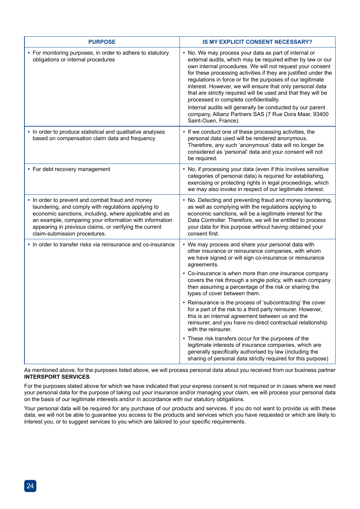| <b>PURPOSE</b>                                                                                                                                                                                                                                                                                                         | IS MY EXPLICIT CONSENT NECESSARY?                                                                                                                                                                                                                                                                                                                                                                                                                                                                                                                                                                                                        |
|------------------------------------------------------------------------------------------------------------------------------------------------------------------------------------------------------------------------------------------------------------------------------------------------------------------------|------------------------------------------------------------------------------------------------------------------------------------------------------------------------------------------------------------------------------------------------------------------------------------------------------------------------------------------------------------------------------------------------------------------------------------------------------------------------------------------------------------------------------------------------------------------------------------------------------------------------------------------|
| • For monitoring purposes, in order to adhere to statutory<br>obligations or internal procedures                                                                                                                                                                                                                       | • No. We may process your data as part of internal or<br>external audits, which may be required either by law or our<br>own internal procedures. We will not request your consent<br>for these processing activities if they are justified under the<br>regulations in force or for the purposes of our legitimate<br>interest. However, we will ensure that only personal data<br>that are strictly required will be used and that they will be<br>processed in complete confidentiality.<br>Internal audits will generally be conducted by our parent<br>company, Allianz Partners SAS (7 Rue Dora Maar, 93400<br>Saint-Ouen, France). |
| • In order to produce statistical and qualitative analyses<br>based on compensation claim data and frequency                                                                                                                                                                                                           | • If we conduct one of these processing activities, the<br>personal data used will be rendered anonymous.<br>Therefore, any such 'anonymous' data will no longer be<br>considered as 'personal' data and your consent will not<br>be required.                                                                                                                                                                                                                                                                                                                                                                                           |
| • For debt recovery management                                                                                                                                                                                                                                                                                         | • No, if processing your data (even if this involves sensitive<br>categories of personal data) is required for establishing,<br>exercising or protecting rights in legal proceedings, which<br>we may also invoke in respect of our legitimate interest.                                                                                                                                                                                                                                                                                                                                                                                 |
| • In order to prevent and combat fraud and money<br>laundering, and comply with regulations applying to<br>economic sanctions, including, where applicable and as<br>an example, comparing your information with information<br>appearing in previous claims, or verifying the current<br>claim-submission procedures. | • No. Detecting and preventing fraud and money laundering,<br>as well as complying with the regulations applying to<br>economic sanctions, will be a legitimate interest for the<br>Data Controller. Therefore, we will be entitled to process<br>your data for this purpose without having obtained your<br>consent first.                                                                                                                                                                                                                                                                                                              |
| • In order to transfer risks via reinsurance and co-insurance                                                                                                                                                                                                                                                          | • We may process and share your personal data with<br>other insurance or reinsurance companies, with whom<br>we have signed or will sign co-insurance or reinsurance<br>agreements.                                                                                                                                                                                                                                                                                                                                                                                                                                                      |
|                                                                                                                                                                                                                                                                                                                        | • Co-insurance is when more than one insurance company<br>covers the risk through a single policy, with each company<br>then assuming a percentage of the risk or sharing the<br>types of cover between them.                                                                                                                                                                                                                                                                                                                                                                                                                            |
|                                                                                                                                                                                                                                                                                                                        | • Reinsurance is the process of 'subcontracting' the cover<br>for a part of the risk to a third party reinsurer. However,<br>this is an internal agreement between us and the<br>reinsurer, and you have no direct contractual relationship<br>with the reinsurer.                                                                                                                                                                                                                                                                                                                                                                       |
|                                                                                                                                                                                                                                                                                                                        | • These risk transfers occur for the purposes of the<br>legitimate interests of insurance companies, which are<br>generally specifically authorised by law (including the<br>sharing of personal data strictly required for this purpose)                                                                                                                                                                                                                                                                                                                                                                                                |

As mentioned above, for the purposes listed above, we will process personal data about you received from our business partner **INTERSPORT SERVICES**.

For the purposes stated above for which we have indicated that your express consent is not required or in cases where we need your personal data for the purpose of taking out your insurance and/or managing your claim, we will process your personal data on the basis of our legitimate interests and/or in accordance with our statutory obligations.

Your personal data will be required for any purchase of our products and services. If you do not want to provide us with these data, we will not be able to guarantee you access to the products and services which you have requested or which are likely to interest you, or to suggest services to you which are tailored to your specific requirements.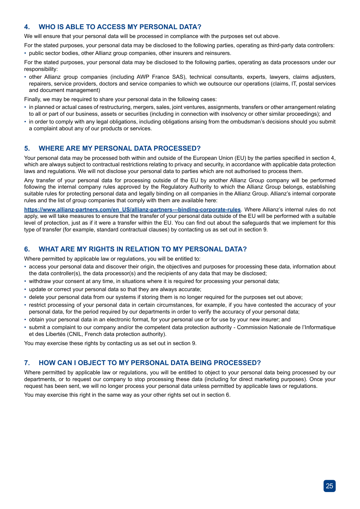#### **4. WHO IS ABLE TO ACCESS MY PERSONAL DATA?**

We will ensure that your personal data will be processed in compliance with the purposes set out above.

For the stated purposes, your personal data may be disclosed to the following parties, operating as third-party data controllers: • public sector bodies, other Allianz group companies, other insurers and reinsurers.

For the stated purposes, your personal data may be disclosed to the following parties, operating as data processors under our responsibility:

• other Allianz group companies (including AWP France SAS), technical consultants, experts, lawyers, claims adjusters, repairers, service providers, doctors and service companies to which we outsource our operations (claims, IT, postal services and document management)

Finally, we may be required to share your personal data in the following cases:

- in planned or actual cases of restructuring, mergers, sales, joint ventures, assignments, transfers or other arrangement relating to all or part of our business, assets or securities (including in connection with insolvency or other similar proceedings); and
- in order to comply with any legal obligations, including obligations arising from the ombudsman's decisions should you submit a complaint about any of our products or services.

#### **5. WHERE ARE MY PERSONAL DATA PROCESSED?**

Your personal data may be processed both within and outside of the European Union (EU) by the parties specified in section 4, which are always subject to contractual restrictions relating to privacy and security, in accordance with applicable data protection laws and regulations. We will not disclose your personal data to parties which are not authorised to process them.

Any transfer of your personal data for processing outside of the EU by another Allianz Group company will be performed following the internal company rules approved by the Regulatory Authority to which the Allianz Group belongs, establishing suitable rules for protecting personal data and legally binding on all companies in the Allianz Group. Allianz's internal corporate rules and the list of group companies that comply with them are available here:

**https://www.allianz-partners.com/en\_US/allianz-partners---binding-corporate-rules**. Where Allianz's internal rules do not apply, we will take measures to ensure that the transfer of your personal data outside of the EU will be performed with a suitable level of protection, just as if it were a transfer within the EU. You can find out about the safeguards that we implement for this type of transfer (for example, standard contractual clauses) by contacting us as set out in section 9.

#### **6. WHAT ARE MY RIGHTS IN RELATION TO MY PERSONAL DATA?**

Where permitted by applicable law or regulations, you will be entitled to:

- access your personal data and discover their origin, the objectives and purposes for processing these data, information about the data controller(s), the data processor(s) and the recipients of any data that may be disclosed;
- withdraw your consent at any time, in situations where it is required for processing your personal data;
- update or correct your personal data so that they are always accurate;
- delete your personal data from our systems if storing them is no longer required for the purposes set out above;
- restrict processing of your personal data in certain circumstances, for example, if you have contested the accuracy of your personal data, for the period required by our departments in order to verify the accuracy of your personal data;
- obtain your personal data in an electronic format, for your personal use or for use by your new insurer; and
- submit a complaint to our company and/or the competent data protection authority Commission Nationale de l'Informatique et des Libertés (CNIL, French data protection authority).

You may exercise these rights by contacting us as set out in section 9.

#### **7. HOW CAN I OBJECT TO MY PERSONAL DATA BEING PROCESSED?**

Where permitted by applicable law or regulations, you will be entitled to object to your personal data being processed by our departments, or to request our company to stop processing these data (including for direct marketing purposes). Once your request has been sent, we will no longer process your personal data unless permitted by applicable laws or regulations.

You may exercise this right in the same way as your other rights set out in section 6.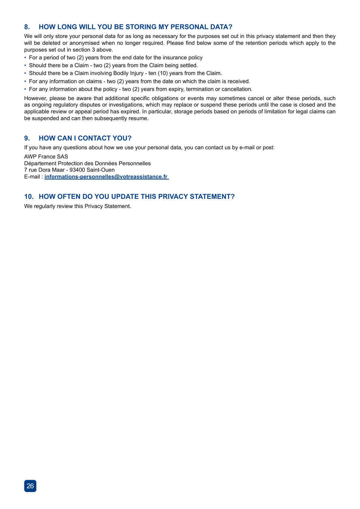#### **8. HOW LONG WILL YOU BE STORING MY PERSONAL DATA?**

We will only store your personal data for as long as necessary for the purposes set out in this privacy statement and then they will be deleted or anonymised when no longer required. Please find below some of the retention periods which apply to the purposes set out in section 3 above.

- For a period of two (2) years from the end date for the insurance policy
- Should there be a Claim two (2) years from the Claim being settled.
- Should there be a Claim involving Bodily Injury ten (10) years from the Claim.
- For any information on claims two (2) years from the date on which the claim is received.
- For any information about the policy two (2) years from expiry, termination or cancellation.

However, please be aware that additional specific obligations or events may sometimes cancel or alter these periods, such as ongoing regulatory disputes or investigations, which may replace or suspend these periods until the case is closed and the applicable review or appeal period has expired. In particular, storage periods based on periods of limitation for legal claims can be suspended and can then subsequently resume.

#### **9. HOW CAN I CONTACT YOU?**

If you have any questions about how we use your personal data, you can contact us by e-mail or post:

AWP France SAS Département Protection des Données Personnelles 7 rue Dora Maar - 93400 Saint-Ouen E-mail : **informations-personnelles@votreassistance.fr** 

#### **10. HOW OFTEN DO YOU UPDATE THIS PRIVACY STATEMENT?**

We regularly review this Privacy Statement.